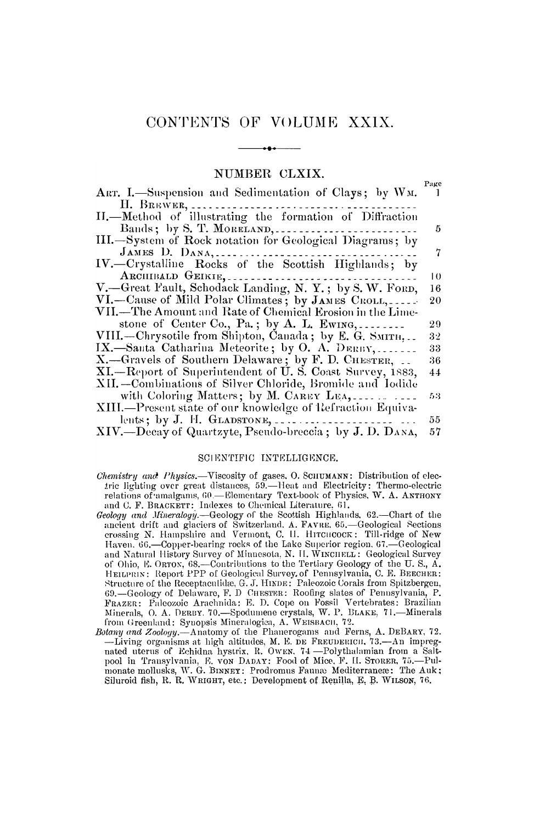## NUMBER CLXIX.

 $P_2$ 

| ART. I.-Suspension and Sedimentation of Clays; by WM.      |                 |
|------------------------------------------------------------|-----------------|
| H. BREWER,                                                 |                 |
| II. Method of illustrating the formation of Diffraction    |                 |
| Bands; by S. T. MORELAND,                                  | 5               |
| III.-System of Rock notation for Geological Diagrams; by   |                 |
| JAMES D. DANA,                                             | 7               |
| IV.-Crystalline Rocks of the Scottish Highlands; by        |                 |
| ARCHIBALD GEIKIE,                                          | $\overline{10}$ |
| V.-Great Fault, Schodack Landing, N. Y.; by S. W. FORD,    | 16              |
| VI.—Cause of Mild Polar Climates; by JAMES CROLL,          | 20              |
| VII.—The Amount and Rate of Chemical Erosion in the Lime-  |                 |
| stone of Center Co., Pa.; by A. L. Ewing,                  | 29              |
| VIII.—Chrysotile from Shipton, Canada; by E. G. SMITH,     | 32              |
| IX.—Santa Catharina Meteorite; by O. A. DERBY,             | 33              |
| X.—Gravels of Southern Delaware; by F. D. CHESTER,         | 36              |
| XI.-Report of Superintendent of U.S. Coast Survey, 1883,   | 44              |
| XII.—Combinations of Silver Chloride, Bromide and Iodide   |                 |
| with Coloring Matters; by M. CAREY LEA,                    | 53              |
| XIII.—Present state of our knowledge of Refraction Equiva- |                 |
| lents; by J. H. GLADSTONE,                                 | 55              |
| XIV.—Decay of Quartzyte, Pseudo-breccia; by J. D. DANA,    | 57              |

## SCIENTIFIC INTELLIGENCE.

- Chemistry and Physics.-Viscosity of gases. O. SCHUMANN: Distribution of electric lighting over great distances, 59.—Heat and Electricity: Thermo-electric relations of amalgams, 60.—Elementary Text-book of Physics, W. A. ANTHONY and C. F. BRACKETT: Indexes to Chemical Literature, 61.
- Geology and Mineralogy.-Geology of the Scottish Highlands, 62.-Chart of the ancient drift and glaciers of Switzerland. A. FAVRE. 65.—Geological Sections crossing N. Hampshire and Vermont, C. II. HITCHCOCK: Till-ridge of New Haven. 66.—Copper-bearing rocks of the Lake Superior region. 67.—Geological<br>and Natural History Survey of Minnesota, N. II. WINCHELL: Geological Survey of Ohio, E. ORTON, 68.—Contributions to the Tertiary Geology of the U.S., A.<br>HEILPRIN: Report PPP of Geological Survey, of Pennsylvania, C.E. BEEGHER: Financial Report of the Receptaculide, G. J. HINDE: Paleozoic Corals from Spitzbergen,<br>69.—Geology of Delaware, F. D. CHESTER: Roofing slates of Pennsylvania, P.<br>69.—Geology of Delaware, F. D. Chester. Roofing slates of Pe from Greenland: Syuopsis Mineralogica, A. WEISBACH, 72.
- Botany and Zoology.—Anatomy of the Phanerogams and Ferns, A. DEBARY, 72.<br>—Living organisms at high altitudes, M. E. DE FREUDERICH, 73.—An impreg-<br>nated uterus of Echidna hystrix. R. Owen, 74.—Polythalamian from a Saltpool in Transylvania, E. von DADAY: Food of Mice, F. II. STORER, 75.-Pulmonate mollusks, W. G. BINNEY: Prodromus Fauna Mediterraneæ: The Auk; Siluroid fish, R. R. WRIGHT, etc.: Development of Renilla, E. B. WILSON, 76.